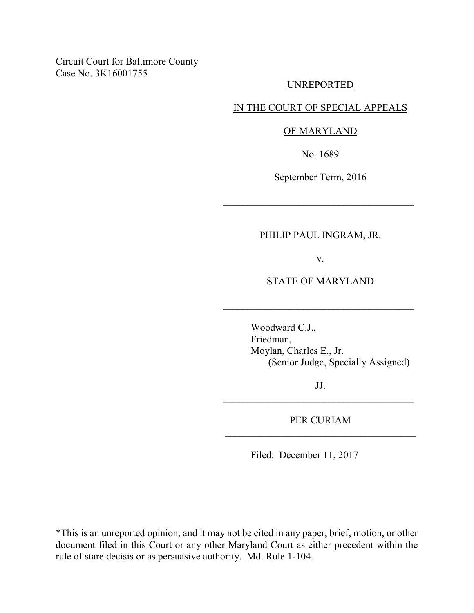Circuit Court for Baltimore County Case No. 3K16001755

### UNREPORTED

### IN THE COURT OF SPECIAL APPEALS

### OF MARYLAND

No. 1689

September Term, 2016

 $\mathcal{L}_\text{max}$  , where  $\mathcal{L}_\text{max}$  , we have the set of  $\mathcal{L}_\text{max}$ 

# PHILIP PAUL INGRAM, JR.

v.

STATE OF MARYLAND

 $\mathcal{L}_\text{max}$  , where  $\mathcal{L}_\text{max}$  , we have the set of  $\mathcal{L}_\text{max}$ 

 Woodward C.J., Friedman, Moylan, Charles E., Jr. (Senior Judge, Specially Assigned)

JJ.  $\mathcal{L}_\text{max}$  , where  $\mathcal{L}_\text{max}$  , we have the set of  $\mathcal{L}_\text{max}$ 

PER CURIAM \_\_\_\_\_\_\_\_\_\_\_\_\_\_\_\_\_\_\_\_\_\_\_\_\_\_\_\_\_\_\_\_\_\_\_\_\_\_

Filed: December 11, 2017

\*This is an unreported opinion, and it may not be cited in any paper, brief, motion, or other document filed in this Court or any other Maryland Court as either precedent within the rule of stare decisis or as persuasive authority. Md. Rule 1-104.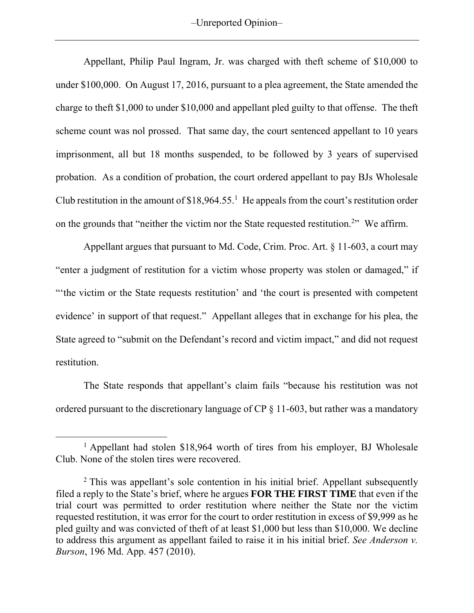–Unreported Opinion–

Appellant, Philip Paul Ingram, Jr. was charged with theft scheme of \$10,000 to under \$100,000. On August 17, 2016, pursuant to a plea agreement, the State amended the charge to theft \$1,000 to under \$10,000 and appellant pled guilty to that offense. The theft scheme count was nol prossed. That same day, the court sentenced appellant to 10 years imprisonment, all but 18 months suspended, to be followed by 3 years of supervised probation. As a condition of probation, the court ordered appellant to pay BJs Wholesale Club restitution in the amount of  $$18,964.55$ <sup>1</sup> He appeals from the court's restitution order on the grounds that "neither the victim nor the State requested restitution.<sup>2</sup>" We affirm.

Appellant argues that pursuant to Md. Code, Crim. Proc. Art. § 11-603, a court may "enter a judgment of restitution for a victim whose property was stolen or damaged," if "'the victim or the State requests restitution' and 'the court is presented with competent evidence' in support of that request." Appellant alleges that in exchange for his plea, the State agreed to "submit on the Defendant's record and victim impact," and did not request restitution.

The State responds that appellant's claim fails "because his restitution was not ordered pursuant to the discretionary language of CP § 11-603, but rather was a mandatory

 $\overline{a}$ 

<sup>&</sup>lt;sup>1</sup> Appellant had stolen \$18,964 worth of tires from his employer, BJ Wholesale Club. None of the stolen tires were recovered.

<sup>&</sup>lt;sup>2</sup> This was appellant's sole contention in his initial brief. Appellant subsequently filed a reply to the State's brief, where he argues **FOR THE FIRST TIME** that even if the trial court was permitted to order restitution where neither the State nor the victim requested restitution, it was error for the court to order restitution in excess of \$9,999 as he pled guilty and was convicted of theft of at least \$1,000 but less than \$10,000. We decline to address this argument as appellant failed to raise it in his initial brief. *See Anderson v. Burson*, 196 Md. App. 457 (2010).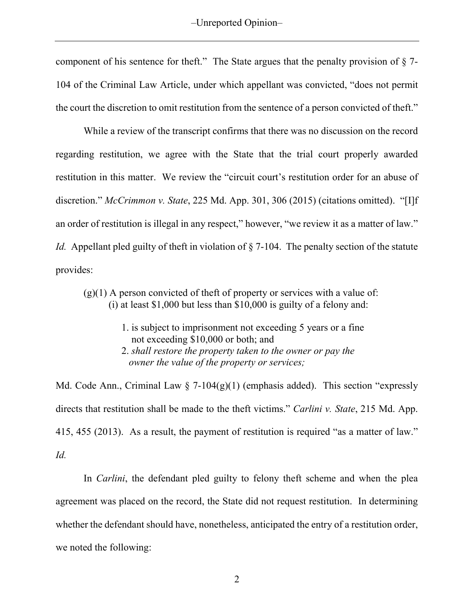component of his sentence for theft." The State argues that the penalty provision of § 7- 104 of the Criminal Law Article, under which appellant was convicted, "does not permit the court the discretion to omit restitution from the sentence of a person convicted of theft."

While a review of the transcript confirms that there was no discussion on the record regarding restitution, we agree with the State that the trial court properly awarded restitution in this matter. We review the "circuit court's restitution order for an abuse of discretion." *McCrimmon v. State*, 225 Md. App. 301, 306 (2015) (citations omitted). "[I]f an order of restitution is illegal in any respect," however, "we review it as a matter of law." *Id.* Appellant pled guilty of theft in violation of  $\S$  7-104. The penalty section of the statute provides:

- $(g)(1)$  A person convicted of theft of property or services with a value of:  $(i)$  at least \$1,000 but less than \$10,000 is guilty of a felony and:
	- 1. is subject to imprisonment not exceeding 5 years or a fine not exceeding \$10,000 or both; and
	- 2. *shall restore the property taken to the owner or pay the owner the value of the property or services;*

Md. Code Ann., Criminal Law  $\S$  7-104(g)(1) (emphasis added). This section "expressly directs that restitution shall be made to the theft victims." *Carlini v. State*, 215 Md. App. 415, 455 (2013). As a result, the payment of restitution is required "as a matter of law." *Id.*

In *Carlini*, the defendant pled guilty to felony theft scheme and when the plea agreement was placed on the record, the State did not request restitution. In determining whether the defendant should have, nonetheless, anticipated the entry of a restitution order, we noted the following: